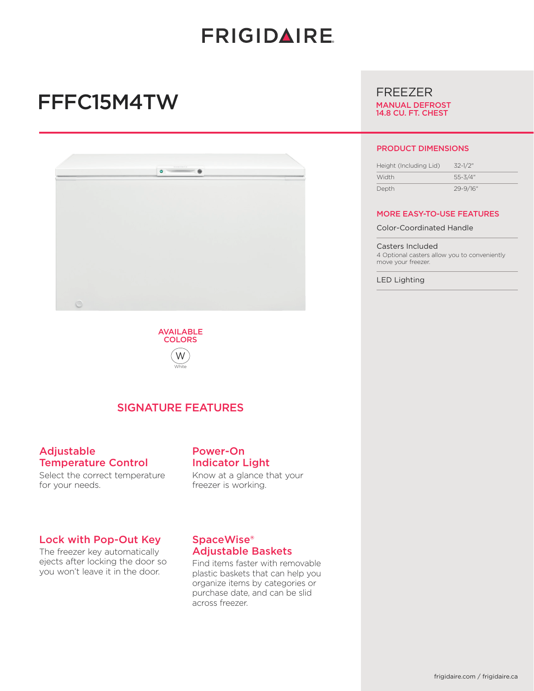# **FRIGIDAIRE**

# FFFC15M4TW





## SIGNATURE FEATURES

#### Adjustable Temperature Control

Select the correct temperature for your needs.

#### Lock with Pop-Out Key

The freezer key automatically ejects after locking the door so you won't leave it in the door.

## Power-On Indicator Light

Know at a glance that your freezer is working.

### SpaceWise® Adjustable Baskets

Find items faster with removable plastic baskets that can help you organize items by categories or purchase date, and can be slid across freezer.

# FREEZER

MANUAL DEFROST 14.8 CU. FT. CHEST

#### PRODUCT DIMENSIONS

| Height (Including Lid) | $32 - 1/2$ " |
|------------------------|--------------|
| Width                  | $55 - 3/4"$  |
| Depth                  | 29-9/16"     |

#### MORE EASY-TO-USE FEATURES

Color-Coordinated Handle

Casters Included 4 Optional casters allow you to conveniently move your freezer.

LED Lighting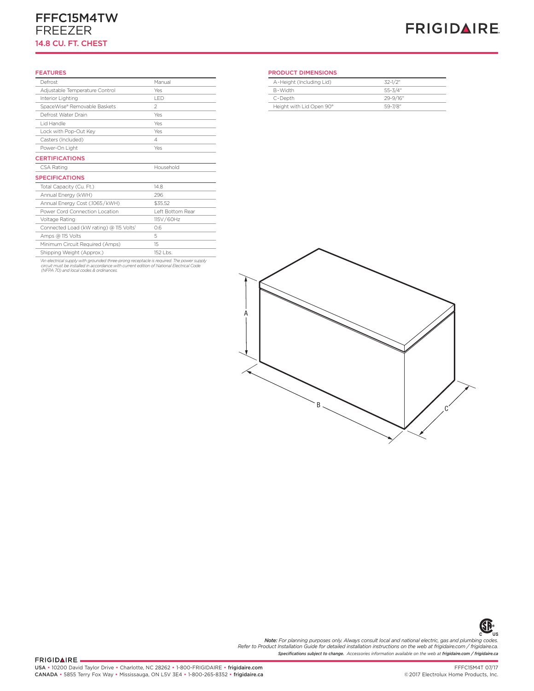### FFFC15M4TW FREEZER 14.8 CU. FT. CHEST

# **FRIGIDAIRE**

#### FEATURES

| Defrost                                 | Manual           | A-Height (Inclu- |
|-----------------------------------------|------------------|------------------|
| Adjustable Temperature Control          | Yes              | B-Width          |
| Interior Lighting                       | <b>IFD</b>       | C-Depth          |
| SpaceWise® Removable Baskets            | $\overline{2}$   | Height with Lid  |
| Defrost Water Drain                     | Yes              |                  |
| I id Handle                             | Yes              |                  |
| Lock with Pop-Out Key                   | Yes              |                  |
| Casters (Included)                      | 4                |                  |
| Power-On Light                          | Yes              |                  |
| <b>CERTIFICATIONS</b>                   |                  |                  |
| CSA Rating                              | Household        |                  |
| <b>SPECIFICATIONS</b>                   |                  |                  |
| Total Capacity (Cu. Ft.)                | 14.8             |                  |
| Annual Energy (kWH)                     | 296              |                  |
| Annual Energy Cost (.1065/kWH)          | \$35.52          |                  |
| Power Cord Connection Location          | Left Bottom Rear |                  |
| Voltage Rating                          | 115V/60Hz        |                  |
| Connected Load (kW rating) @ 115 Volts1 | 0.6              |                  |
| Amps @ 115 Volts                        | 5                |                  |
| Minimum Circuit Required (Amps)         | 15               |                  |
| Shipping Weight (Approx.)               | 152 Lbs.         |                  |

'An electrical supply with grounded three-prong receptacle is required. The power supply<br>circuit must be installed in accordance with current edition of National Electrical Code<br>(NFPA 70) and local codes & ordinances.

#### PRODUCT DIMENSIONS

| A-Height (Including Lid) | $32-1/2"$    |
|--------------------------|--------------|
| R-Width                  | $55 - 3/4"$  |
| C-Depth                  | 29-9/16"     |
| Height with Lid Open 90° | $59 - 7/8$ " |
|                          |              |





*Specifications subject to change. Accessories information available on the web at frigidaire.com / frigidaire.ca* **Note:** For planning purposes only. Always consult local and national electric, gas and plumbing codes.<br>Refer to Product Installation Guide for detailed installation instructions on the web at frigidaire.com / frigidaire.c

FRIGIDAIRE.